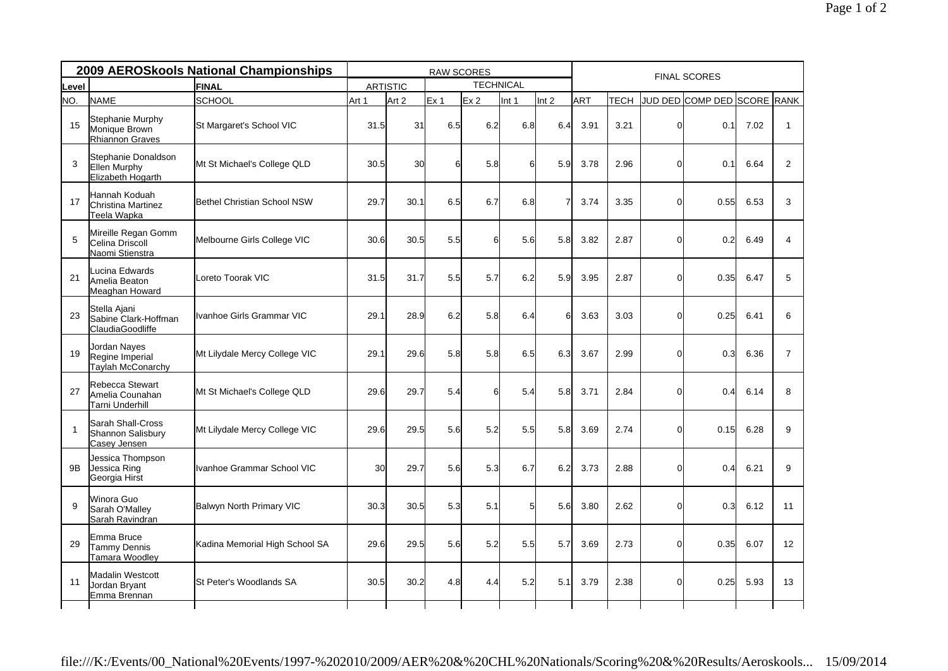| 2009 AEROSkools National Championships |                                                           |                                | <b>RAW SCORES</b> |                                     |                 |     |          |                |      | <b>FINAL SCORES</b> |                |                             |      |                |  |  |
|----------------------------------------|-----------------------------------------------------------|--------------------------------|-------------------|-------------------------------------|-----------------|-----|----------|----------------|------|---------------------|----------------|-----------------------------|------|----------------|--|--|
| Level                                  | FINAL                                                     |                                |                   | <b>TECHNICAL</b><br><b>ARTISTIC</b> |                 |     |          |                |      |                     |                |                             |      |                |  |  |
| NO.                                    | <b>NAME</b>                                               | <b>SCHOOL</b>                  | Art 1             | Art 2                               | Ex <sub>1</sub> | Ex2 | Int 1    | Int 2          | ART  | <b>TECH</b>         |                | JUD DED COMP DED SCORE RANK |      |                |  |  |
| 15                                     | Stephanie Murphy<br>Monique Brown<br>Rhiannon Graves      | St Margaret's School VIC       | 31.5              | 31                                  | 6.5             | 6.2 | 6.8      | 6.4            | 3.91 | 3.21                | $\Omega$       | 0.1                         | 7.02 | $\mathbf{1}$   |  |  |
| 3                                      | Stephanie Donaldson<br>Ellen Murphy<br>Elizabeth Hogarth  | Mt St Michael's College QLD    | 30.5              | 30                                  | 6               | 5.8 | $6 \mid$ | 5.9            | 3.78 | 2.96                | $\Omega$       | 0.1                         | 6.64 | 2              |  |  |
| 17                                     | Hannah Koduah<br>Christina Martinez<br>Teela Wapka        | Bethel Christian School NSW    | 29.7              | 30.1                                | 6.5             | 6.7 | 6.8      |                | 3.74 | 3.35                | $\Omega$       | 0.55                        | 6.53 | 3              |  |  |
| 5                                      | Mireille Regan Gomm<br>Celina Driscoll<br>Naomi Stienstra | Melbourne Girls College VIC    | 30.6              | 30.5                                | 5.5             | 6   | 5.6      | 5.8            | 3.82 | 2.87                | $\mathbf 0$    | 0.2                         | 6.49 | $\overline{4}$ |  |  |
| 21                                     | Lucina Edwards<br>Amelia Beaton<br>Meaghan Howard         | Loreto Toorak VIC              | 31.5              | 31.7                                | 5.5             | 5.7 | 6.2      | 5.9            | 3.95 | 2.87                | $\mathbf 0$    | 0.35                        | 6.47 | 5              |  |  |
| 23                                     | Stella Ajani<br>Sabine Clark-Hoffman<br>ClaudiaGoodliffe  | Ivanhoe Girls Grammar VIC      | 29.1              | 28.9                                | 6.2             | 5.8 | 6.4      | 6 <sup>1</sup> | 3.63 | 3.03                | $\Omega$       | 0.25                        | 6.41 | 6              |  |  |
| 19                                     | Jordan Nayes<br>Regine Imperial<br>Taylah McConarchy      | Mt Lilydale Mercy College VIC  | 29.1              | 29.6                                | 5.8             | 5.8 | 6.5      | 6.3            | 3.67 | 2.99                | $\overline{0}$ | 0.3                         | 6.36 | $\overline{7}$ |  |  |
| 27                                     | Rebecca Stewart<br>Amelia Counahan<br>Tarni Underhill     | Mt St Michael's College QLD    | 29.6              | 29.7                                | 5.4             | 6   | 5.4      | 5.8            | 3.71 | 2.84                | $\Omega$       | 0.4                         | 6.14 | 8              |  |  |
| -1                                     | Sarah Shall-Cross<br>Shannon Salisbury<br>Casey Jensen    | Mt Lilydale Mercy College VIC  | 29.6              | 29.5                                | 5.6             | 5.2 | 5.5      | 5.8            | 3.69 | 2.74                | $\Omega$       | 0.15                        | 6.28 | 9              |  |  |
| 9 <sub>B</sub>                         | Jessica Thompson<br>Jessica Ring<br>Georgia Hirst         | Ivanhoe Grammar School VIC     | 30                | 29.7                                | 5.6             | 5.3 | 6.7      | 6.2            | 3.73 | 2.88                | $\Omega$       | 0.4                         | 6.21 | 9              |  |  |
| 9                                      | Winora Guo<br>Sarah O'Malley<br>Sarah Ravindran           | Balwyn North Primary VIC       | 30.3              | 30.5                                | 5.3             | 5.1 | $5 \mid$ | 5.6            | 3.80 | 2.62                | $\Omega$       | 0.3                         | 6.12 | 11             |  |  |
| 29                                     | Emma Bruce<br><b>Tammy Dennis</b><br>Tamara Woodley       | Kadina Memorial High School SA | 29.6              | 29.5                                | 5.6             | 5.2 | 5.5      | 5.7            | 3.69 | 2.73                | $\Omega$       | 0.35                        | 6.07 | 12             |  |  |
| 11                                     | <b>Madalin Westcott</b><br>Jordan Bryant<br>Emma Brennan  | St Peter's Woodlands SA        | 30.5              | 30.2                                | 4.8             | 4.4 | 5.2      | 5.1            | 3.79 | 2.38                | $\Omega$       | 0.25                        | 5.93 | 13             |  |  |
|                                        |                                                           |                                |                   |                                     |                 |     |          |                |      |                     |                |                             |      |                |  |  |